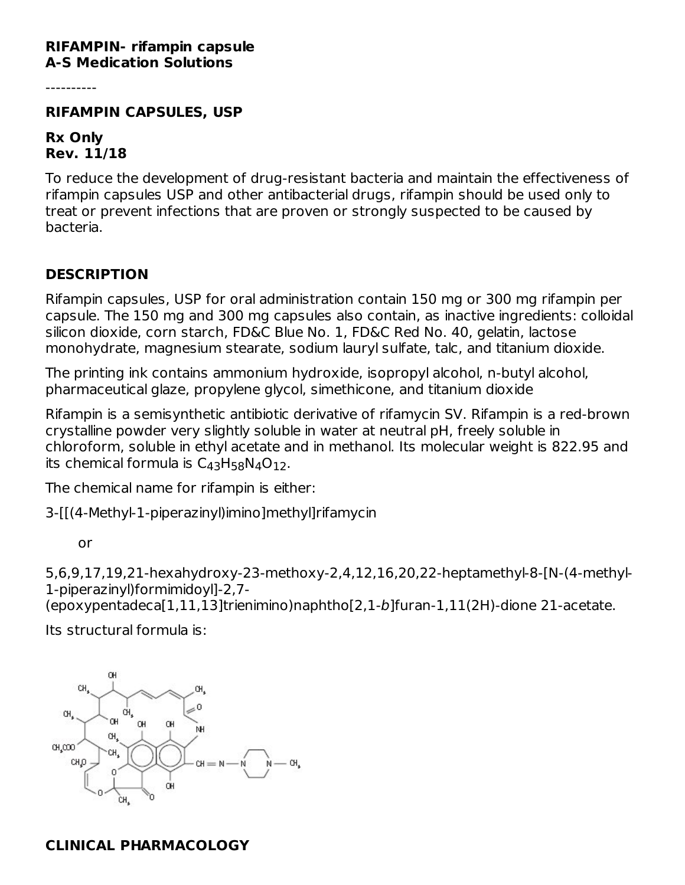#### **RIFAMPIN- rifampin capsule A-S Medication Solutions**

----------

#### **RIFAMPIN CAPSULES, USP**

#### **Rx Only Rev. 11/18**

To reduce the development of drug-resistant bacteria and maintain the effectiveness of rifampin capsules USP and other antibacterial drugs, rifampin should be used only to treat or prevent infections that are proven or strongly suspected to be caused by bacteria.

#### **DESCRIPTION**

Rifampin capsules, USP for oral administration contain 150 mg or 300 mg rifampin per capsule. The 150 mg and 300 mg capsules also contain, as inactive ingredients: colloidal silicon dioxide, corn starch, FD&C Blue No. 1, FD&C Red No. 40, gelatin, lactose monohydrate, magnesium stearate, sodium lauryl sulfate, talc, and titanium dioxide.

The printing ink contains ammonium hydroxide, isopropyl alcohol, n-butyl alcohol, pharmaceutical glaze, propylene glycol, simethicone, and titanium dioxide

Rifampin is a semisynthetic antibiotic derivative of rifamycin SV. Rifampin is a red-brown crystalline powder very slightly soluble in water at neutral pH, freely soluble in chloroform, soluble in ethyl acetate and in methanol. Its molecular weight is 822.95 and its chemical formula is  $C_{43}H_{58}N_4O_{12}$ .

The chemical name for rifampin is either:

3-[[(4-Methyl-1-piperazinyl)imino]methyl]rifamycin

or

5,6,9,17,19,21-hexahydroxy-23-methoxy-2,4,12,16,20,22-heptamethyl-8-[N-(4-methyl-1-piperazinyl)formimidoyl]-2,7-

(epoxypentadeca[1,11,13]trienimino)naphtho[2,1-b]furan-1,11(2H)-dione 21-acetate.

Its structural formula is:



#### **CLINICAL PHARMACOLOGY**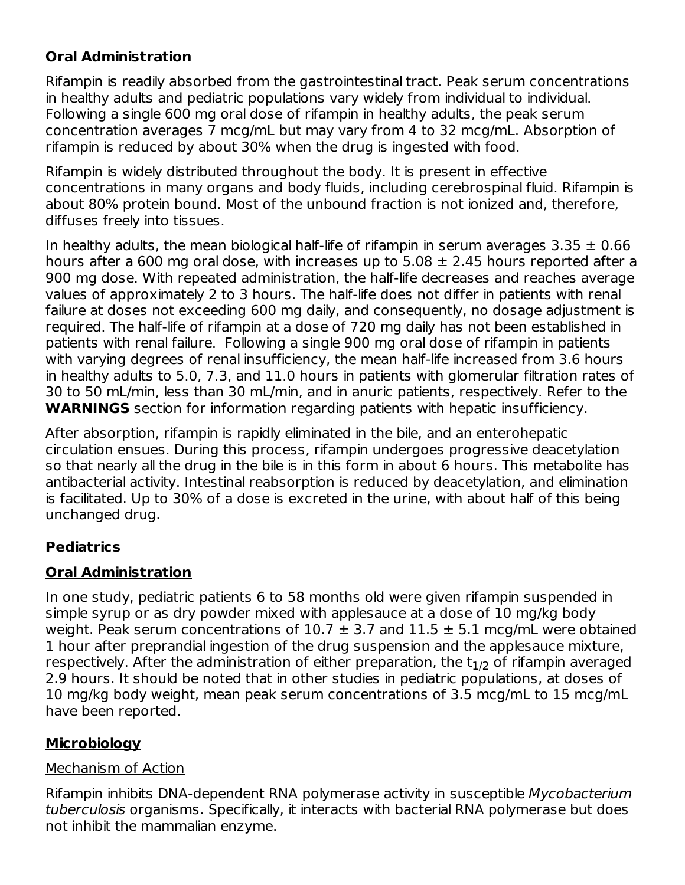## **Oral Administration**

Rifampin is readily absorbed from the gastrointestinal tract. Peak serum concentrations in healthy adults and pediatric populations vary widely from individual to individual. Following a single 600 mg oral dose of rifampin in healthy adults, the peak serum concentration averages 7 mcg/mL but may vary from 4 to 32 mcg/mL. Absorption of rifampin is reduced by about 30% when the drug is ingested with food.

Rifampin is widely distributed throughout the body. It is present in effective concentrations in many organs and body fluids, including cerebrospinal fluid. Rifampin is about 80% protein bound. Most of the unbound fraction is not ionized and, therefore, diffuses freely into tissues.

In healthy adults, the mean biological half-life of rifampin in serum averages  $3.35 \pm 0.66$ hours after a 600 mg oral dose, with increases up to  $5.08 \pm 2.45$  hours reported after a 900 mg dose. With repeated administration, the half-life decreases and reaches average values of approximately 2 to 3 hours. The half-life does not differ in patients with renal failure at doses not exceeding 600 mg daily, and consequently, no dosage adjustment is required. The half-life of rifampin at a dose of 720 mg daily has not been established in patients with renal failure. Following a single 900 mg oral dose of rifampin in patients with varying degrees of renal insufficiency, the mean half-life increased from 3.6 hours in healthy adults to 5.0, 7.3, and 11.0 hours in patients with glomerular filtration rates of 30 to 50 mL/min, less than 30 mL/min, and in anuric patients, respectively. Refer to the **WARNINGS** section for information regarding patients with hepatic insufficiency.

After absorption, rifampin is rapidly eliminated in the bile, and an enterohepatic circulation ensues. During this process, rifampin undergoes progressive deacetylation so that nearly all the drug in the bile is in this form in about 6 hours. This metabolite has antibacterial activity. Intestinal reabsorption is reduced by deacetylation, and elimination is facilitated. Up to 30% of a dose is excreted in the urine, with about half of this being unchanged drug.

## **Pediatrics**

## **Oral Administration**

In one study, pediatric patients 6 to 58 months old were given rifampin suspended in simple syrup or as dry powder mixed with applesauce at a dose of 10 mg/kg body weight. Peak serum concentrations of  $10.7 \pm 3.7$  and  $11.5 \pm 5.1$  mcg/mL were obtained 1 hour after preprandial ingestion of the drug suspension and the applesauce mixture, respectively. After the administration of either preparation, the  $t_{1/2}$  of rifampin averaged 2.9 hours. It should be noted that in other studies in pediatric populations, at doses of 10 mg/kg body weight, mean peak serum concentrations of 3.5 mcg/mL to 15 mcg/mL have been reported.

## **Microbiology**

### Mechanism of Action

Rifampin inhibits DNA-dependent RNA polymerase activity in susceptible Mycobacterium tuberculosis organisms. Specifically, it interacts with bacterial RNA polymerase but does not inhibit the mammalian enzyme.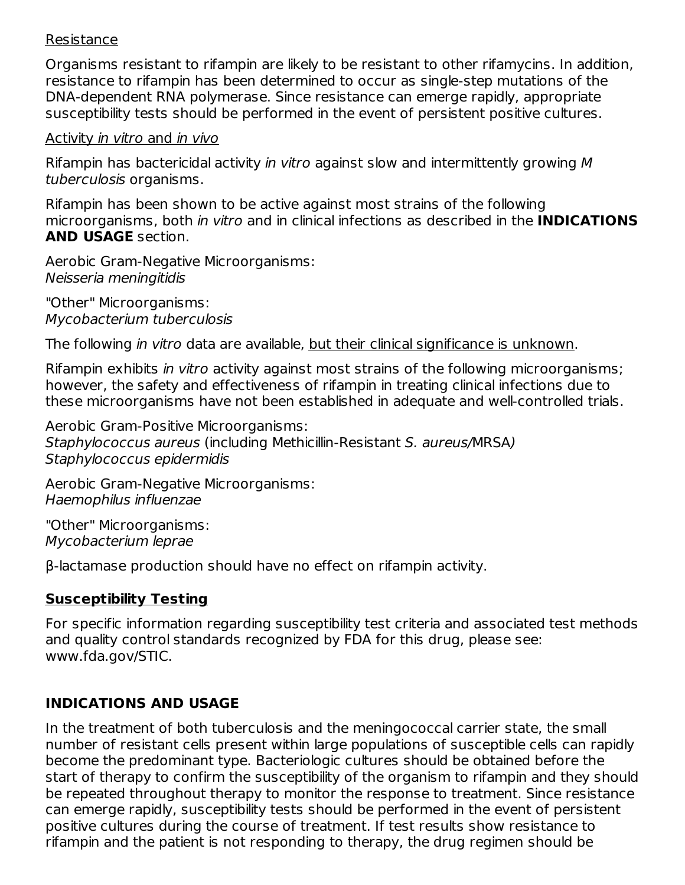#### Resistance

Organisms resistant to rifampin are likely to be resistant to other rifamycins. In addition, resistance to rifampin has been determined to occur as single-step mutations of the DNA-dependent RNA polymerase. Since resistance can emerge rapidly, appropriate susceptibility tests should be performed in the event of persistent positive cultures.

#### Activity in vitro and in vivo

Rifampin has bactericidal activity in vitro against slow and intermittently growing M tuberculosis organisms.

Rifampin has been shown to be active against most strains of the following microorganisms, both in vitro and in clinical infections as described in the **INDICATIONS AND USAGE** section.

Aerobic Gram-Negative Microorganisms: Neisseria meningitidis

"Other" Microorganisms: Mycobacterium tuberculosis

The following in vitro data are available, but their clinical significance is unknown.

Rifampin exhibits in vitro activity against most strains of the following microorganisms: however, the safety and effectiveness of rifampin in treating clinical infections due to these microorganisms have not been established in adequate and well-controlled trials.

Aerobic Gram-Positive Microorganisms: Staphylococcus aureus (including Methicillin-Resistant S. aureus/MRSA) Staphylococcus epidermidis

Aerobic Gram-Negative Microorganisms: Haemophilus influenzae

"Other" Microorganisms: Mycobacterium leprae

β-lactamase production should have no effect on rifampin activity.

### **Susceptibility Testing**

For specific information regarding susceptibility test criteria and associated test methods and quality control standards recognized by FDA for this drug, please see: www.fda.gov/STIC.

### **INDICATIONS AND USAGE**

In the treatment of both tuberculosis and the meningococcal carrier state, the small number of resistant cells present within large populations of susceptible cells can rapidly become the predominant type. Bacteriologic cultures should be obtained before the start of therapy to confirm the susceptibility of the organism to rifampin and they should be repeated throughout therapy to monitor the response to treatment. Since resistance can emerge rapidly, susceptibility tests should be performed in the event of persistent positive cultures during the course of treatment. If test results show resistance to rifampin and the patient is not responding to therapy, the drug regimen should be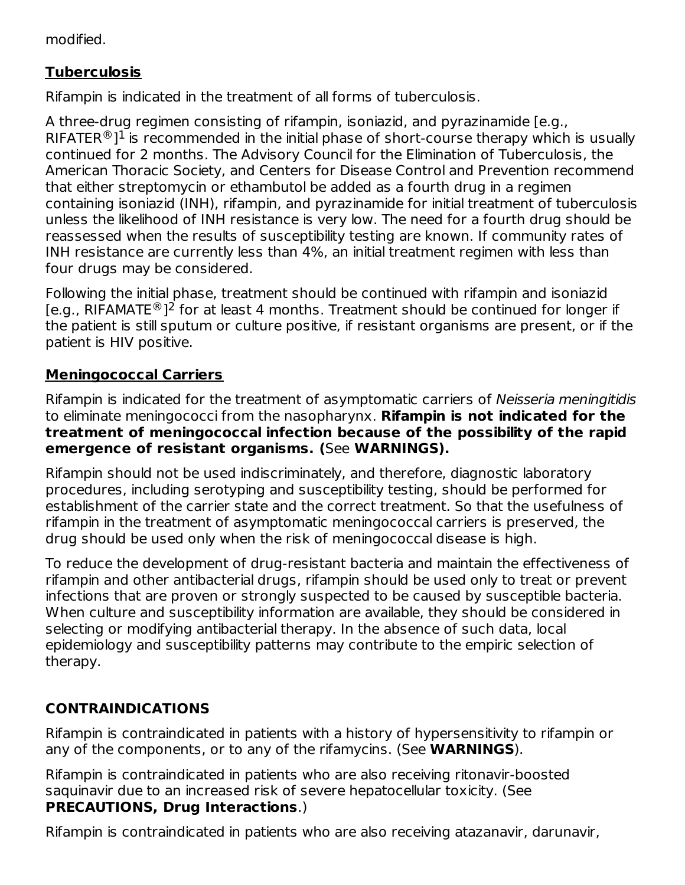modified.

## **Tuberculosis**

Rifampin is indicated in the treatment of all forms of tuberculosis.

A three-drug regimen consisting of rifampin, isoniazid, and pyrazinamide [e.g., RIFATER ${}^{\circledR}$ ] ${}^{1}$  is recommended in the initial phase of short-course therapy which is usually continued for 2 months. The Advisory Council for the Elimination of Tuberculosis, the American Thoracic Society, and Centers for Disease Control and Prevention recommend that either streptomycin or ethambutol be added as a fourth drug in a regimen containing isoniazid (INH), rifampin, and pyrazinamide for initial treatment of tuberculosis unless the likelihood of INH resistance is very low. The need for a fourth drug should be reassessed when the results of susceptibility testing are known. If community rates of INH resistance are currently less than 4%, an initial treatment regimen with less than four drugs may be considered.

Following the initial phase, treatment should be continued with rifampin and isoniazid [e.g., RIFAMATE ${}^{\circledR}$ ]<sup>2</sup> for at least 4 months. Treatment should be continued for longer if the patient is still sputum or culture positive, if resistant organisms are present, or if the patient is HIV positive.

## **Meningococcal Carriers**

Rifampin is indicated for the treatment of asymptomatic carriers of Neisseria meningitidis to eliminate meningococci from the nasopharynx. **Rifampin is not indicated for the treatment of meningococcal infection because of the possibility of the rapid emergence of resistant organisms. (**See **WARNINGS).**

Rifampin should not be used indiscriminately, and therefore, diagnostic laboratory procedures, including serotyping and susceptibility testing, should be performed for establishment of the carrier state and the correct treatment. So that the usefulness of rifampin in the treatment of asymptomatic meningococcal carriers is preserved, the drug should be used only when the risk of meningococcal disease is high.

To reduce the development of drug-resistant bacteria and maintain the effectiveness of rifampin and other antibacterial drugs, rifampin should be used only to treat or prevent infections that are proven or strongly suspected to be caused by susceptible bacteria. When culture and susceptibility information are available, they should be considered in selecting or modifying antibacterial therapy. In the absence of such data, local epidemiology and susceptibility patterns may contribute to the empiric selection of therapy.

## **CONTRAINDICATIONS**

Rifampin is contraindicated in patients with a history of hypersensitivity to rifampin or any of the components, or to any of the rifamycins. (See **WARNINGS**).

Rifampin is contraindicated in patients who are also receiving ritonavir-boosted saquinavir due to an increased risk of severe hepatocellular toxicity. (See **PRECAUTIONS, Drug Interactions**.)

Rifampin is contraindicated in patients who are also receiving atazanavir, darunavir,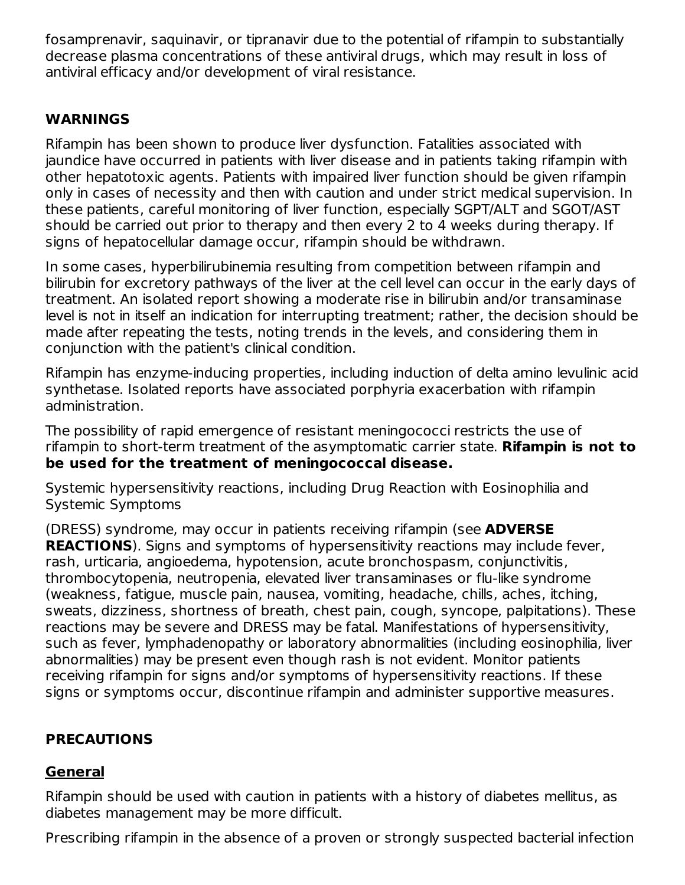fosamprenavir, saquinavir, or tipranavir due to the potential of rifampin to substantially decrease plasma concentrations of these antiviral drugs, which may result in loss of antiviral efficacy and/or development of viral resistance.

### **WARNINGS**

Rifampin has been shown to produce liver dysfunction. Fatalities associated with jaundice have occurred in patients with liver disease and in patients taking rifampin with other hepatotoxic agents. Patients with impaired liver function should be given rifampin only in cases of necessity and then with caution and under strict medical supervision. In these patients, careful monitoring of liver function, especially SGPT/ALT and SGOT/AST should be carried out prior to therapy and then every 2 to 4 weeks during therapy. If signs of hepatocellular damage occur, rifampin should be withdrawn.

In some cases, hyperbilirubinemia resulting from competition between rifampin and bilirubin for excretory pathways of the liver at the cell level can occur in the early days of treatment. An isolated report showing a moderate rise in bilirubin and/or transaminase level is not in itself an indication for interrupting treatment; rather, the decision should be made after repeating the tests, noting trends in the levels, and considering them in conjunction with the patient's clinical condition.

Rifampin has enzyme-inducing properties, including induction of delta amino levulinic acid synthetase. Isolated reports have associated porphyria exacerbation with rifampin administration.

The possibility of rapid emergence of resistant meningococci restricts the use of rifampin to short-term treatment of the asymptomatic carrier state. **Rifampin is not to be used for the treatment of meningococcal disease.**

Systemic hypersensitivity reactions, including Drug Reaction with Eosinophilia and Systemic Symptoms

(DRESS) syndrome, may occur in patients receiving rifampin (see **ADVERSE REACTIONS**). Signs and symptoms of hypersensitivity reactions may include fever, rash, urticaria, angioedema, hypotension, acute bronchospasm, conjunctivitis, thrombocytopenia, neutropenia, elevated liver transaminases or flu-like syndrome (weakness, fatigue, muscle pain, nausea, vomiting, headache, chills, aches, itching, sweats, dizziness, shortness of breath, chest pain, cough, syncope, palpitations). These reactions may be severe and DRESS may be fatal. Manifestations of hypersensitivity, such as fever, lymphadenopathy or laboratory abnormalities (including eosinophilia, liver abnormalities) may be present even though rash is not evident. Monitor patients receiving rifampin for signs and/or symptoms of hypersensitivity reactions. If these signs or symptoms occur, discontinue rifampin and administer supportive measures.

## **PRECAUTIONS**

#### **General**

Rifampin should be used with caution in patients with a history of diabetes mellitus, as diabetes management may be more difficult.

Prescribing rifampin in the absence of a proven or strongly suspected bacterial infection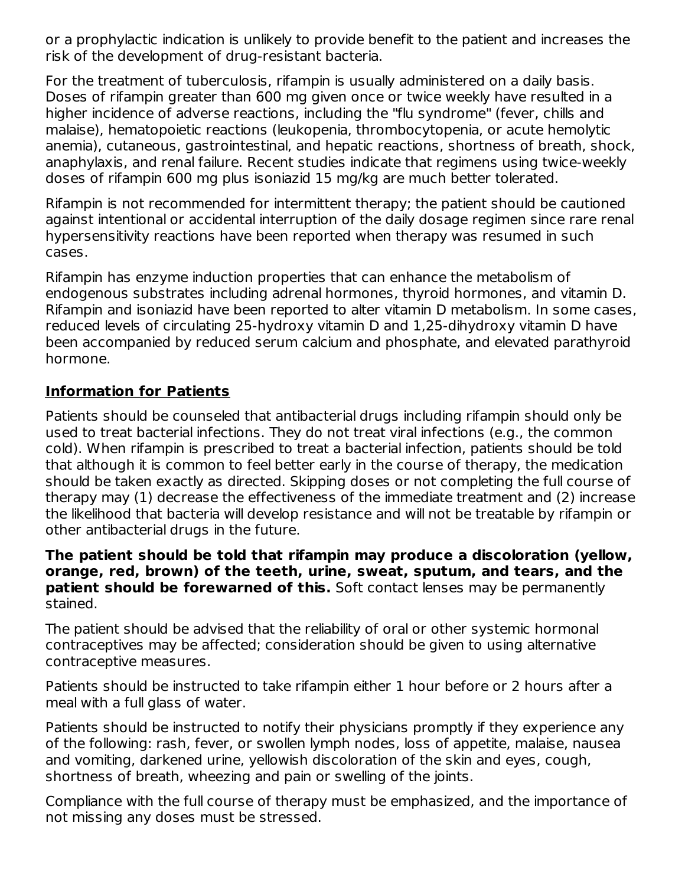or a prophylactic indication is unlikely to provide benefit to the patient and increases the risk of the development of drug-resistant bacteria.

For the treatment of tuberculosis, rifampin is usually administered on a daily basis. Doses of rifampin greater than 600 mg given once or twice weekly have resulted in a higher incidence of adverse reactions, including the "flu syndrome" (fever, chills and malaise), hematopoietic reactions (leukopenia, thrombocytopenia, or acute hemolytic anemia), cutaneous, gastrointestinal, and hepatic reactions, shortness of breath, shock, anaphylaxis, and renal failure. Recent studies indicate that regimens using twice-weekly doses of rifampin 600 mg plus isoniazid 15 mg/kg are much better tolerated.

Rifampin is not recommended for intermittent therapy; the patient should be cautioned against intentional or accidental interruption of the daily dosage regimen since rare renal hypersensitivity reactions have been reported when therapy was resumed in such cases.

Rifampin has enzyme induction properties that can enhance the metabolism of endogenous substrates including adrenal hormones, thyroid hormones, and vitamin D. Rifampin and isoniazid have been reported to alter vitamin D metabolism. In some cases, reduced levels of circulating 25-hydroxy vitamin D and 1,25-dihydroxy vitamin D have been accompanied by reduced serum calcium and phosphate, and elevated parathyroid hormone.

#### **Information for Patients**

Patients should be counseled that antibacterial drugs including rifampin should only be used to treat bacterial infections. They do not treat viral infections (e.g., the common cold). When rifampin is prescribed to treat a bacterial infection, patients should be told that although it is common to feel better early in the course of therapy, the medication should be taken exactly as directed. Skipping doses or not completing the full course of therapy may (1) decrease the effectiveness of the immediate treatment and (2) increase the likelihood that bacteria will develop resistance and will not be treatable by rifampin or other antibacterial drugs in the future.

#### **The patient should be told that rifampin may produce a discoloration (yellow, orange, red, brown) of the teeth, urine, sweat, sputum, and tears, and the patient should be forewarned of this.** Soft contact lenses may be permanently stained.

The patient should be advised that the reliability of oral or other systemic hormonal contraceptives may be affected; consideration should be given to using alternative contraceptive measures.

Patients should be instructed to take rifampin either 1 hour before or 2 hours after a meal with a full glass of water.

Patients should be instructed to notify their physicians promptly if they experience any of the following: rash, fever, or swollen lymph nodes, loss of appetite, malaise, nausea and vomiting, darkened urine, yellowish discoloration of the skin and eyes, cough, shortness of breath, wheezing and pain or swelling of the joints.

Compliance with the full course of therapy must be emphasized, and the importance of not missing any doses must be stressed.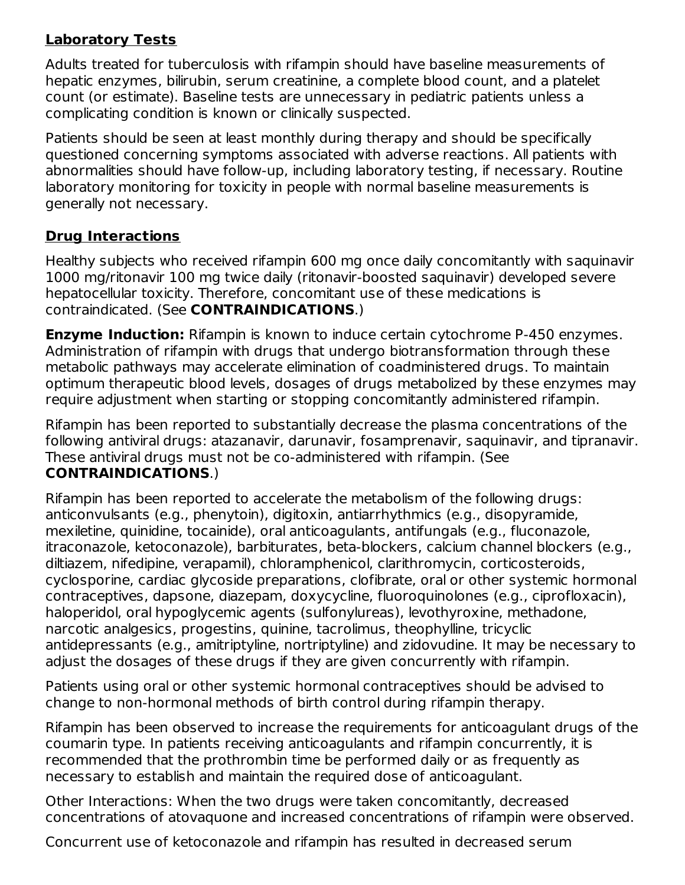### **Laboratory Tests**

Adults treated for tuberculosis with rifampin should have baseline measurements of hepatic enzymes, bilirubin, serum creatinine, a complete blood count, and a platelet count (or estimate). Baseline tests are unnecessary in pediatric patients unless a complicating condition is known or clinically suspected.

Patients should be seen at least monthly during therapy and should be specifically questioned concerning symptoms associated with adverse reactions. All patients with abnormalities should have follow-up, including laboratory testing, if necessary. Routine laboratory monitoring for toxicity in people with normal baseline measurements is generally not necessary.

### **Drug Interactions**

Healthy subjects who received rifampin 600 mg once daily concomitantly with saquinavir 1000 mg/ritonavir 100 mg twice daily (ritonavir-boosted saquinavir) developed severe hepatocellular toxicity. Therefore, concomitant use of these medications is contraindicated. (See **CONTRAINDICATIONS**.)

**Enzyme Induction:** Rifampin is known to induce certain cytochrome P-450 enzymes. Administration of rifampin with drugs that undergo biotransformation through these metabolic pathways may accelerate elimination of coadministered drugs. To maintain optimum therapeutic blood levels, dosages of drugs metabolized by these enzymes may require adjustment when starting or stopping concomitantly administered rifampin.

Rifampin has been reported to substantially decrease the plasma concentrations of the following antiviral drugs: atazanavir, darunavir, fosamprenavir, saquinavir, and tipranavir. These antiviral drugs must not be co-administered with rifampin. (See **CONTRAINDICATIONS**.)

Rifampin has been reported to accelerate the metabolism of the following drugs: anticonvulsants (e.g., phenytoin), digitoxin, antiarrhythmics (e.g., disopyramide, mexiletine, quinidine, tocainide), oral anticoagulants, antifungals (e.g., fluconazole, itraconazole, ketoconazole), barbiturates, beta-blockers, calcium channel blockers (e.g., diltiazem, nifedipine, verapamil), chloramphenicol, clarithromycin, corticosteroids, cyclosporine, cardiac glycoside preparations, clofibrate, oral or other systemic hormonal contraceptives, dapsone, diazepam, doxycycline, fluoroquinolones (e.g., ciprofloxacin), haloperidol, oral hypoglycemic agents (sulfonylureas), levothyroxine, methadone, narcotic analgesics, progestins, quinine, tacrolimus, theophylline, tricyclic antidepressants (e.g., amitriptyline, nortriptyline) and zidovudine. It may be necessary to adjust the dosages of these drugs if they are given concurrently with rifampin.

Patients using oral or other systemic hormonal contraceptives should be advised to change to non-hormonal methods of birth control during rifampin therapy.

Rifampin has been observed to increase the requirements for anticoagulant drugs of the coumarin type. In patients receiving anticoagulants and rifampin concurrently, it is recommended that the prothrombin time be performed daily or as frequently as necessary to establish and maintain the required dose of anticoagulant.

Other Interactions: When the two drugs were taken concomitantly, decreased concentrations of atovaquone and increased concentrations of rifampin were observed.

Concurrent use of ketoconazole and rifampin has resulted in decreased serum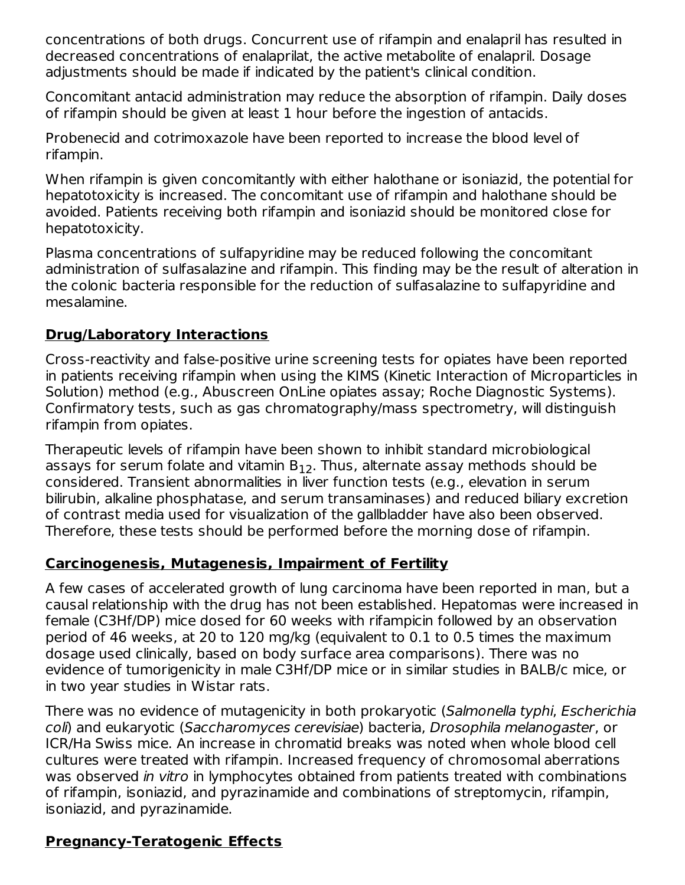concentrations of both drugs. Concurrent use of rifampin and enalapril has resulted in decreased concentrations of enalaprilat, the active metabolite of enalapril. Dosage adjustments should be made if indicated by the patient's clinical condition.

Concomitant antacid administration may reduce the absorption of rifampin. Daily doses of rifampin should be given at least 1 hour before the ingestion of antacids.

Probenecid and cotrimoxazole have been reported to increase the blood level of rifampin.

When rifampin is given concomitantly with either halothane or isoniazid, the potential for hepatotoxicity is increased. The concomitant use of rifampin and halothane should be avoided. Patients receiving both rifampin and isoniazid should be monitored close for hepatotoxicity.

Plasma concentrations of sulfapyridine may be reduced following the concomitant administration of sulfasalazine and rifampin. This finding may be the result of alteration in the colonic bacteria responsible for the reduction of sulfasalazine to sulfapyridine and mesalamine.

### **Drug/Laboratory Interactions**

Cross-reactivity and false-positive urine screening tests for opiates have been reported in patients receiving rifampin when using the KIMS (Kinetic Interaction of Microparticles in Solution) method (e.g., Abuscreen OnLine opiates assay; Roche Diagnostic Systems). Confirmatory tests, such as gas chromatography/mass spectrometry, will distinguish rifampin from opiates.

Therapeutic levels of rifampin have been shown to inhibit standard microbiological assays for serum folate and vitamin  $\mathsf{B}_{12}.$  Thus, alternate assay methods should be considered. Transient abnormalities in liver function tests (e.g., elevation in serum bilirubin, alkaline phosphatase, and serum transaminases) and reduced biliary excretion of contrast media used for visualization of the gallbladder have also been observed. Therefore, these tests should be performed before the morning dose of rifampin.

#### **Carcinogenesis, Mutagenesis, Impairment of Fertility**

A few cases of accelerated growth of lung carcinoma have been reported in man, but a causal relationship with the drug has not been established. Hepatomas were increased in female (C3Hf/DP) mice dosed for 60 weeks with rifampicin followed by an observation period of 46 weeks, at 20 to 120 mg/kg (equivalent to 0.1 to 0.5 times the maximum dosage used clinically, based on body surface area comparisons). There was no evidence of tumorigenicity in male C3Hf/DP mice or in similar studies in BALB/c mice, or in two year studies in Wistar rats.

There was no evidence of mutagenicity in both prokaryotic (Salmonella typhi, Escherichia coli) and eukaryotic (Saccharomyces cerevisiae) bacteria, Drosophila melanogaster, or ICR/Ha Swiss mice. An increase in chromatid breaks was noted when whole blood cell cultures were treated with rifampin. Increased frequency of chromosomal aberrations was observed in vitro in lymphocytes obtained from patients treated with combinations of rifampin, isoniazid, and pyrazinamide and combinations of streptomycin, rifampin, isoniazid, and pyrazinamide.

### **Pregnancy-Teratogenic Effects**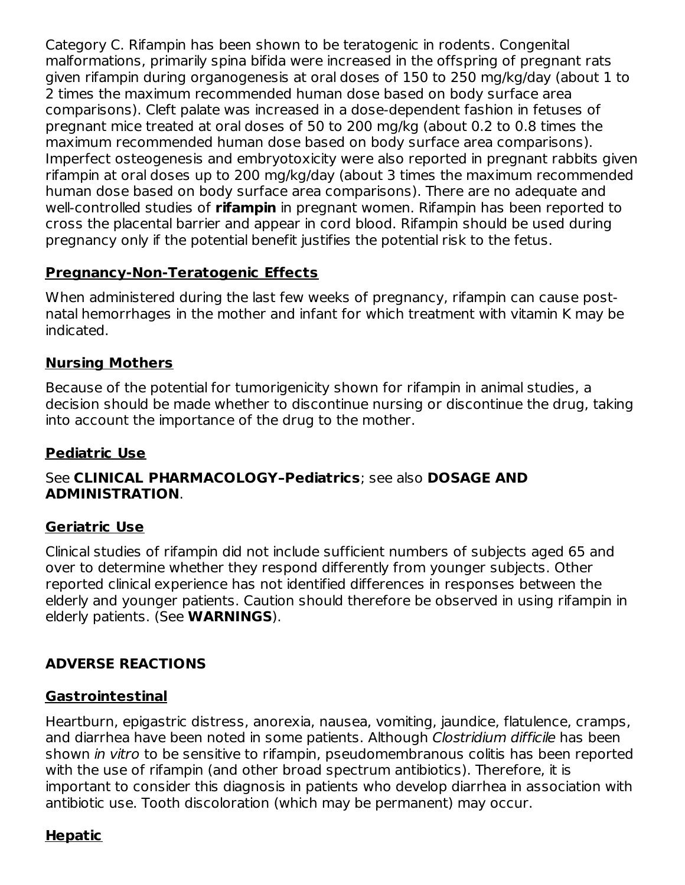Category C. Rifampin has been shown to be teratogenic in rodents. Congenital malformations, primarily spina bifida were increased in the offspring of pregnant rats given rifampin during organogenesis at oral doses of 150 to 250 mg/kg/day (about 1 to 2 times the maximum recommended human dose based on body surface area comparisons). Cleft palate was increased in a dose-dependent fashion in fetuses of pregnant mice treated at oral doses of 50 to 200 mg/kg (about 0.2 to 0.8 times the maximum recommended human dose based on body surface area comparisons). Imperfect osteogenesis and embryotoxicity were also reported in pregnant rabbits given rifampin at oral doses up to 200 mg/kg/day (about 3 times the maximum recommended human dose based on body surface area comparisons). There are no adequate and well-controlled studies of **rifampin** in pregnant women. Rifampin has been reported to cross the placental barrier and appear in cord blood. Rifampin should be used during pregnancy only if the potential benefit justifies the potential risk to the fetus.

### **Pregnancy-Non-Teratogenic Effects**

When administered during the last few weeks of pregnancy, rifampin can cause postnatal hemorrhages in the mother and infant for which treatment with vitamin K may be indicated.

## **Nursing Mothers**

Because of the potential for tumorigenicity shown for rifampin in animal studies, a decision should be made whether to discontinue nursing or discontinue the drug, taking into account the importance of the drug to the mother.

### **Pediatric Use**

#### See **CLINICAL PHARMACOLOGY–Pediatrics**; see also **DOSAGE AND ADMINISTRATION**.

### **Geriatric Use**

Clinical studies of rifampin did not include sufficient numbers of subjects aged 65 and over to determine whether they respond differently from younger subjects. Other reported clinical experience has not identified differences in responses between the elderly and younger patients. Caution should therefore be observed in using rifampin in elderly patients. (See **WARNINGS**).

## **ADVERSE REACTIONS**

### **Gastrointestinal**

Heartburn, epigastric distress, anorexia, nausea, vomiting, jaundice, flatulence, cramps, and diarrhea have been noted in some patients. Although Clostridium difficile has been shown in vitro to be sensitive to rifampin, pseudomembranous colitis has been reported with the use of rifampin (and other broad spectrum antibiotics). Therefore, it is important to consider this diagnosis in patients who develop diarrhea in association with antibiotic use. Tooth discoloration (which may be permanent) may occur.

### **Hepatic**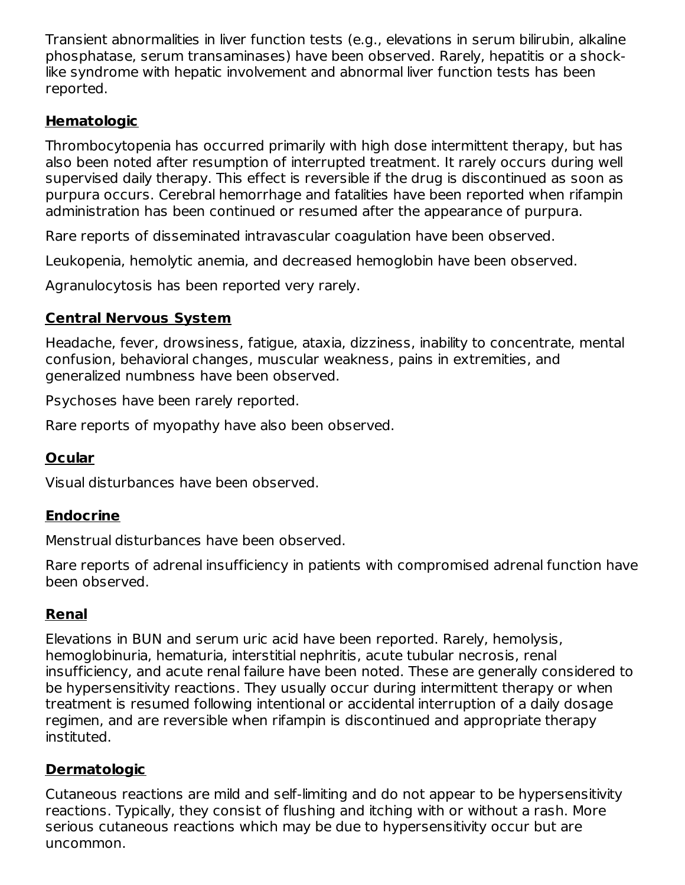Transient abnormalities in liver function tests (e.g., elevations in serum bilirubin, alkaline phosphatase, serum transaminases) have been observed. Rarely, hepatitis or a shocklike syndrome with hepatic involvement and abnormal liver function tests has been reported.

### **Hematologic**

Thrombocytopenia has occurred primarily with high dose intermittent therapy, but has also been noted after resumption of interrupted treatment. It rarely occurs during well supervised daily therapy. This effect is reversible if the drug is discontinued as soon as purpura occurs. Cerebral hemorrhage and fatalities have been reported when rifampin administration has been continued or resumed after the appearance of purpura.

Rare reports of disseminated intravascular coagulation have been observed.

Leukopenia, hemolytic anemia, and decreased hemoglobin have been observed.

Agranulocytosis has been reported very rarely.

## **Central Nervous System**

Headache, fever, drowsiness, fatigue, ataxia, dizziness, inability to concentrate, mental confusion, behavioral changes, muscular weakness, pains in extremities, and generalized numbness have been observed.

Psychoses have been rarely reported.

Rare reports of myopathy have also been observed.

## **Ocular**

Visual disturbances have been observed.

## **Endocrine**

Menstrual disturbances have been observed.

Rare reports of adrenal insufficiency in patients with compromised adrenal function have been observed.

## **Renal**

Elevations in BUN and serum uric acid have been reported. Rarely, hemolysis, hemoglobinuria, hematuria, interstitial nephritis, acute tubular necrosis, renal insufficiency, and acute renal failure have been noted. These are generally considered to be hypersensitivity reactions. They usually occur during intermittent therapy or when treatment is resumed following intentional or accidental interruption of a daily dosage regimen, and are reversible when rifampin is discontinued and appropriate therapy instituted.

## **Dermatologic**

Cutaneous reactions are mild and self-limiting and do not appear to be hypersensitivity reactions. Typically, they consist of flushing and itching with or without a rash. More serious cutaneous reactions which may be due to hypersensitivity occur but are uncommon.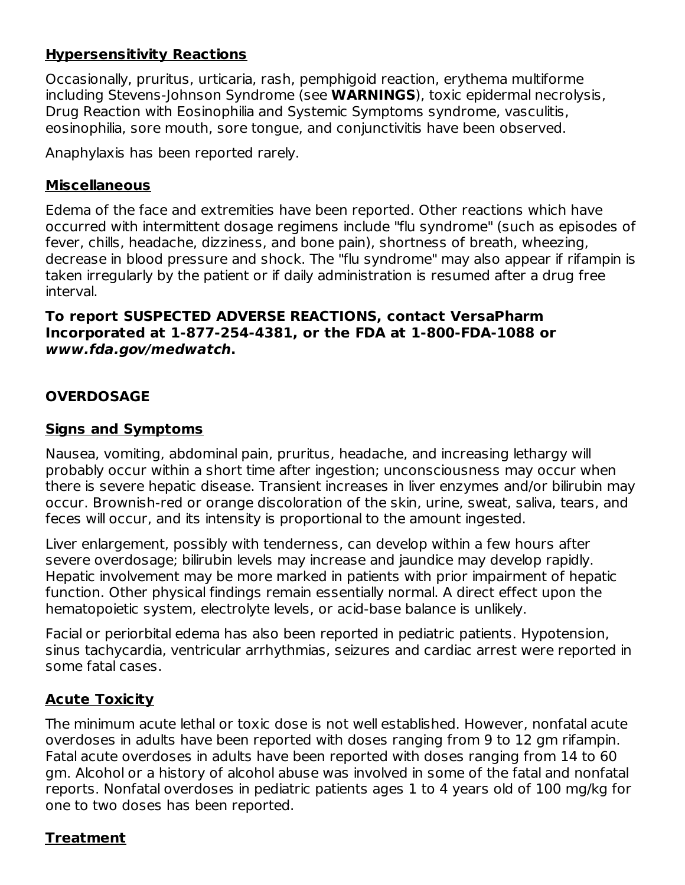### **Hypersensitivity Reactions**

Occasionally, pruritus, urticaria, rash, pemphigoid reaction, erythema multiforme including Stevens-Johnson Syndrome (see **WARNINGS**), toxic epidermal necrolysis, Drug Reaction with Eosinophilia and Systemic Symptoms syndrome, vasculitis, eosinophilia, sore mouth, sore tongue, and conjunctivitis have been observed.

Anaphylaxis has been reported rarely.

#### **Miscellaneous**

Edema of the face and extremities have been reported. Other reactions which have occurred with intermittent dosage regimens include "flu syndrome" (such as episodes of fever, chills, headache, dizziness, and bone pain), shortness of breath, wheezing, decrease in blood pressure and shock. The "flu syndrome" may also appear if rifampin is taken irregularly by the patient or if daily administration is resumed after a drug free interval.

#### **To report SUSPECTED ADVERSE REACTIONS, contact VersaPharm Incorporated at 1-877-254-4381, or the FDA at 1-800-FDA-1088 or www.fda.gov/medwatch.**

#### **OVERDOSAGE**

#### **Signs and Symptoms**

Nausea, vomiting, abdominal pain, pruritus, headache, and increasing lethargy will probably occur within a short time after ingestion; unconsciousness may occur when there is severe hepatic disease. Transient increases in liver enzymes and/or bilirubin may occur. Brownish-red or orange discoloration of the skin, urine, sweat, saliva, tears, and feces will occur, and its intensity is proportional to the amount ingested.

Liver enlargement, possibly with tenderness, can develop within a few hours after severe overdosage; bilirubin levels may increase and jaundice may develop rapidly. Hepatic involvement may be more marked in patients with prior impairment of hepatic function. Other physical findings remain essentially normal. A direct effect upon the hematopoietic system, electrolyte levels, or acid-base balance is unlikely.

Facial or periorbital edema has also been reported in pediatric patients. Hypotension, sinus tachycardia, ventricular arrhythmias, seizures and cardiac arrest were reported in some fatal cases.

#### **Acute Toxicity**

The minimum acute lethal or toxic dose is not well established. However, nonfatal acute overdoses in adults have been reported with doses ranging from 9 to 12 gm rifampin. Fatal acute overdoses in adults have been reported with doses ranging from 14 to 60 gm. Alcohol or a history of alcohol abuse was involved in some of the fatal and nonfatal reports. Nonfatal overdoses in pediatric patients ages 1 to 4 years old of 100 mg/kg for one to two doses has been reported.

#### **Treatment**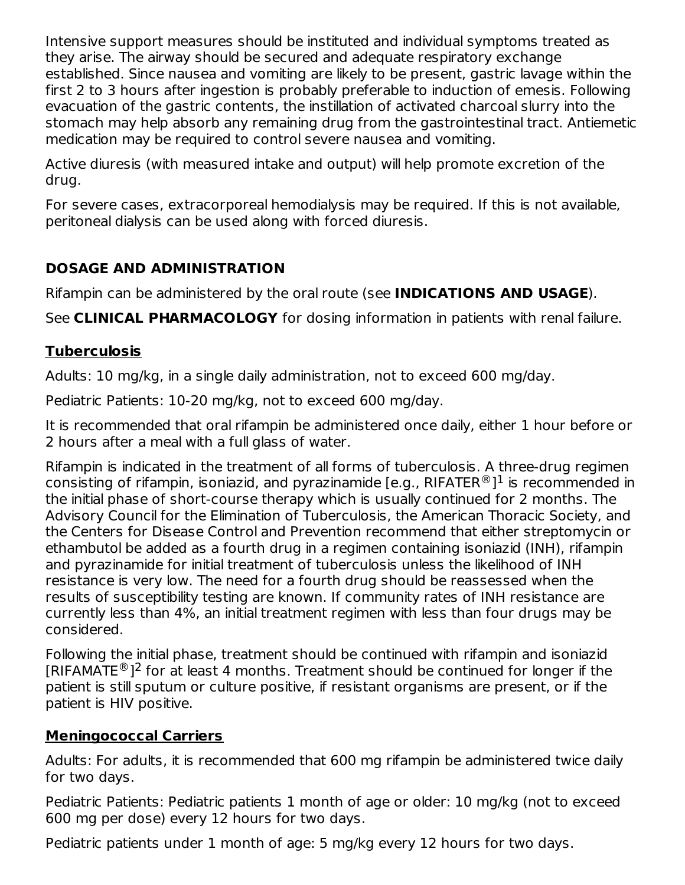Intensive support measures should be instituted and individual symptoms treated as they arise. The airway should be secured and adequate respiratory exchange established. Since nausea and vomiting are likely to be present, gastric lavage within the first 2 to 3 hours after ingestion is probably preferable to induction of emesis. Following evacuation of the gastric contents, the instillation of activated charcoal slurry into the stomach may help absorb any remaining drug from the gastrointestinal tract. Antiemetic medication may be required to control severe nausea and vomiting.

Active diuresis (with measured intake and output) will help promote excretion of the drug.

For severe cases, extracorporeal hemodialysis may be required. If this is not available, peritoneal dialysis can be used along with forced diuresis.

### **DOSAGE AND ADMINISTRATION**

Rifampin can be administered by the oral route (see **INDICATIONS AND USAGE**).

See **CLINICAL PHARMACOLOGY** for dosing information in patients with renal failure.

### **Tuberculosis**

Adults: 10 mg/kg, in a single daily administration, not to exceed 600 mg/day.

Pediatric Patients: 10-20 mg/kg, not to exceed 600 mg/day.

It is recommended that oral rifampin be administered once daily, either 1 hour before or 2 hours after a meal with a full glass of water.

Rifampin is indicated in the treatment of all forms of tuberculosis. A three-drug regimen consisting of rifampin, isoniazid, and pyrazinamide [e.g., RIFATER $^\circledR$ ] $^1$  is recommended in the initial phase of short-course therapy which is usually continued for 2 months. The Advisory Council for the Elimination of Tuberculosis, the American Thoracic Society, and the Centers for Disease Control and Prevention recommend that either streptomycin or ethambutol be added as a fourth drug in a regimen containing isoniazid (INH), rifampin and pyrazinamide for initial treatment of tuberculosis unless the likelihood of INH resistance is very low. The need for a fourth drug should be reassessed when the results of susceptibility testing are known. If community rates of INH resistance are currently less than 4%, an initial treatment regimen with less than four drugs may be considered.

Following the initial phase, treatment should be continued with rifampin and isoniazid [RIFAMATE ${}^{\circledR}$ ]<sup>2</sup> for at least 4 months. Treatment should be continued for longer if the patient is still sputum or culture positive, if resistant organisms are present, or if the patient is HIV positive.

#### **Meningococcal Carriers**

Adults: For adults, it is recommended that 600 mg rifampin be administered twice daily for two days.

Pediatric Patients: Pediatric patients 1 month of age or older: 10 mg/kg (not to exceed 600 mg per dose) every 12 hours for two days.

Pediatric patients under 1 month of age: 5 mg/kg every 12 hours for two days.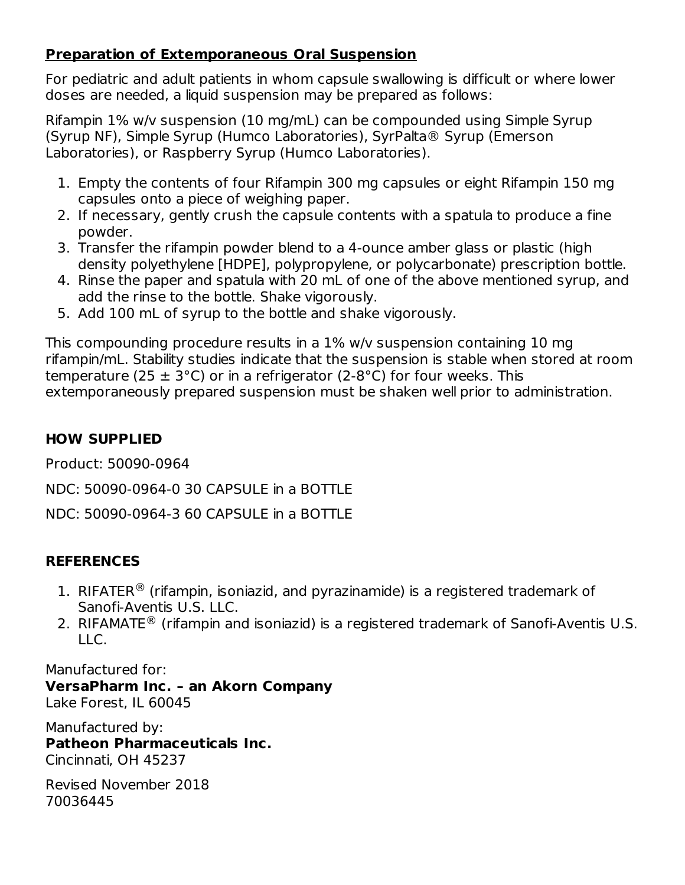### **Preparation of Extemporaneous Oral Suspension**

For pediatric and adult patients in whom capsule swallowing is difficult or where lower doses are needed, a liquid suspension may be prepared as follows:

Rifampin 1% w/v suspension (10 mg/mL) can be compounded using Simple Syrup (Syrup NF), Simple Syrup (Humco Laboratories), SyrPalta® Syrup (Emerson Laboratories), or Raspberry Syrup (Humco Laboratories).

- 1. Empty the contents of four Rifampin 300 mg capsules or eight Rifampin 150 mg capsules onto a piece of weighing paper.
- 2. If necessary, gently crush the capsule contents with a spatula to produce a fine powder.
- 3. Transfer the rifampin powder blend to a 4-ounce amber glass or plastic (high density polyethylene [HDPE], polypropylene, or polycarbonate) prescription bottle.
- 4. Rinse the paper and spatula with 20 mL of one of the above mentioned syrup, and add the rinse to the bottle. Shake vigorously.
- 5. Add 100 mL of syrup to the bottle and shake vigorously.

This compounding procedure results in a 1% w/v suspension containing 10 mg rifampin/mL. Stability studies indicate that the suspension is stable when stored at room temperature (25  $\pm$  3°C) or in a refrigerator (2-8°C) for four weeks. This extemporaneously prepared suspension must be shaken well prior to administration.

## **HOW SUPPLIED**

Product: 50090-0964

NDC: 50090-0964-0 30 CAPSULE in a BOTTLE

NDC: 50090-0964-3 60 CAPSULE in a BOTTLE

## **REFERENCES**

- 1. RIFATER<sup>®</sup> (rifampin, isoniazid, and pyrazinamide) is a registered trademark of Sanofi-Aventis U.S. LLC.
- 2. RIFAMATE<sup>®</sup> (rifampin and isoniazid) is a registered trademark of Sanofi-Aventis U.S. LLC.

Manufactured for:

**VersaPharm Inc. – an Akorn Company** Lake Forest, IL 60045

Manufactured by: **Patheon Pharmaceuticals Inc.** Cincinnati, OH 45237

Revised November 2018 70036445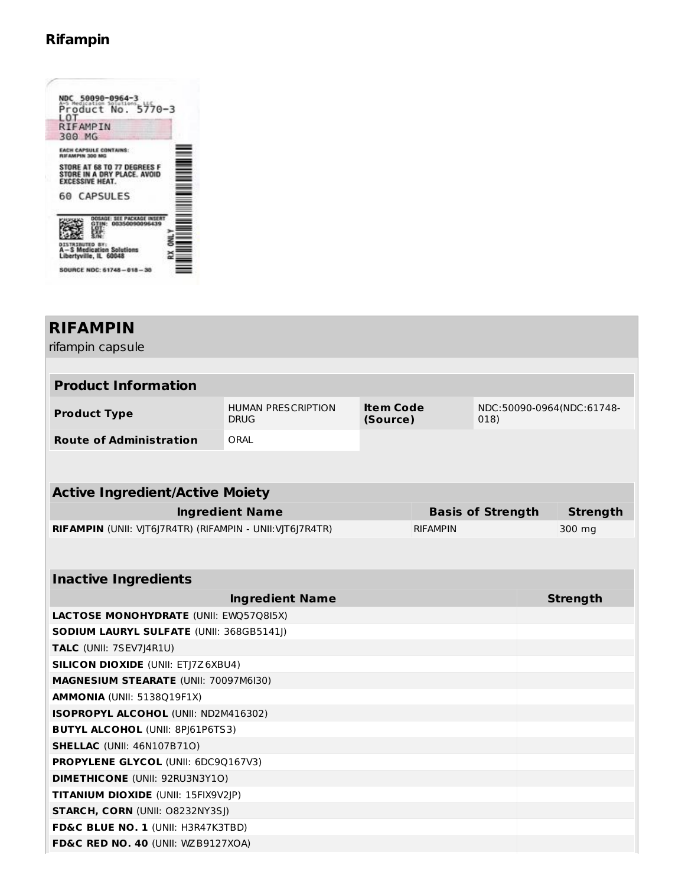## **Rifampin**

| NDC 50090-0964-3<br>Product No.<br>5770-3<br>L O.T<br>RIFAMPIN<br>300 MG                                                                                |
|---------------------------------------------------------------------------------------------------------------------------------------------------------|
| EACH CAPSULE CONTAINS:<br><b>RIFAMPIN 300 MG</b><br>STORE AT 68 TO 77 DEGREES F<br>STORE IN A DRY PLACE. AVOID<br><b>EXCESSIVE HEAT.</b><br>60 CAPSULES |
| 00350090096439<br><b>DISTRIBUTED BY:</b><br>A-S Medication Solutions<br>Libertyville, IL 60048<br>SOURCE NDC: 61748-018-30                              |

| <b>RIFAMPIN</b><br>rifampin capsule                       |                                          |                                                                   |                 |                          |                 |  |
|-----------------------------------------------------------|------------------------------------------|-------------------------------------------------------------------|-----------------|--------------------------|-----------------|--|
|                                                           |                                          |                                                                   |                 |                          |                 |  |
| <b>Product Information</b>                                |                                          |                                                                   |                 |                          |                 |  |
| <b>Product Type</b>                                       | <b>HUMAN PRESCRIPTION</b><br><b>DRUG</b> | <b>Item Code</b><br>NDC:50090-0964(NDC:61748-<br>(Source)<br>018) |                 |                          |                 |  |
| <b>Route of Administration</b>                            | ORAL                                     |                                                                   |                 |                          |                 |  |
|                                                           |                                          |                                                                   |                 |                          |                 |  |
|                                                           |                                          |                                                                   |                 |                          |                 |  |
| <b>Active Ingredient/Active Moiety</b>                    |                                          |                                                                   |                 |                          |                 |  |
|                                                           | <b>Ingredient Name</b>                   |                                                                   |                 | <b>Basis of Strength</b> | <b>Strength</b> |  |
| RIFAMPIN (UNII: VJT6J7R4TR) (RIFAMPIN - UNII: VJT6J7R4TR) |                                          |                                                                   | <b>RIFAMPIN</b> |                          | 300 mg          |  |
|                                                           |                                          |                                                                   |                 |                          |                 |  |
| <b>Inactive Ingredients</b>                               |                                          |                                                                   |                 |                          |                 |  |
|                                                           | <b>Ingredient Name</b>                   |                                                                   |                 |                          | <b>Strength</b> |  |
| LACTOSE MONOHYDRATE (UNII: EWQ57Q8I5X)                    |                                          |                                                                   |                 |                          |                 |  |
| SODIUM LAURYL SULFATE (UNII: 368GB5141J)                  |                                          |                                                                   |                 |                          |                 |  |
| TALC (UNII: 7SEV7J4R1U)                                   |                                          |                                                                   |                 |                          |                 |  |
| <b>SILICON DIOXIDE (UNII: ETJ7Z6XBU4)</b>                 |                                          |                                                                   |                 |                          |                 |  |
| MAGNESIUM STEARATE (UNII: 70097M6I30)                     |                                          |                                                                   |                 |                          |                 |  |
| AMMONIA (UNII: 5138Q19F1X)                                |                                          |                                                                   |                 |                          |                 |  |
| ISOPROPYL ALCOHOL (UNII: ND2M416302)                      |                                          |                                                                   |                 |                          |                 |  |
| <b>BUTYL ALCOHOL (UNII: 8PJ61P6TS3)</b>                   |                                          |                                                                   |                 |                          |                 |  |
| <b>SHELLAC (UNII: 46N107B710)</b>                         |                                          |                                                                   |                 |                          |                 |  |
| PROPYLENE GLYCOL (UNII: 6DC9Q167V3)                       |                                          |                                                                   |                 |                          |                 |  |
| <b>DIMETHICONE</b> (UNII: 92RU3N3Y1O)                     |                                          |                                                                   |                 |                          |                 |  |
| TITANIUM DIOXIDE (UNII: 15FIX9V2JP)                       |                                          |                                                                   |                 |                          |                 |  |
| <b>STARCH, CORN (UNII: O8232NY3SJ)</b>                    |                                          |                                                                   |                 |                          |                 |  |
| FD&C BLUE NO. 1 (UNII: H3R47K3TBD)                        |                                          |                                                                   |                 |                          |                 |  |
| FD&C RED NO. 40 (UNII: WZB9127XOA)                        |                                          |                                                                   |                 |                          |                 |  |